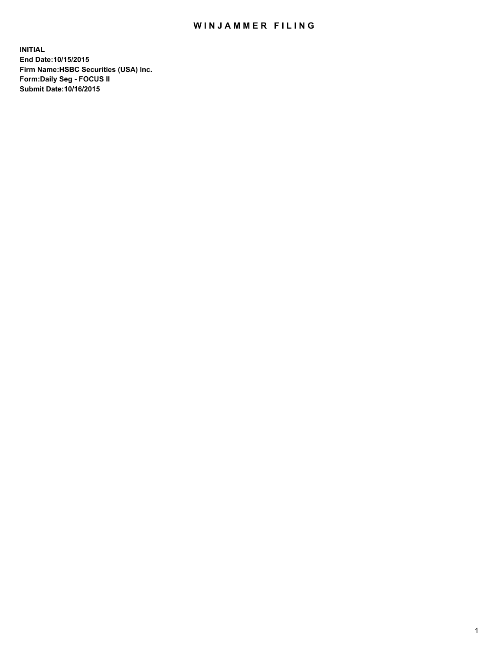## WIN JAMMER FILING

**INITIAL End Date:10/15/2015 Firm Name:HSBC Securities (USA) Inc. Form:Daily Seg - FOCUS II Submit Date:10/16/2015**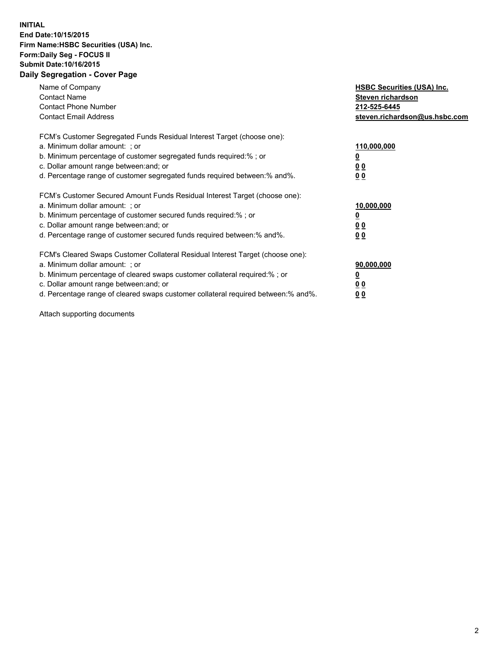## **INITIAL End Date:10/15/2015 Firm Name:HSBC Securities (USA) Inc. Form:Daily Seg - FOCUS II Submit Date:10/16/2015 Daily Segregation - Cover Page**

| Name of Company<br><b>Contact Name</b><br><b>Contact Phone Number</b><br><b>Contact Email Address</b>                                                                                                                                                                                                                         | <b>HSBC Securities (USA) Inc.</b><br>Steven richardson<br>212-525-6445<br>steven.richardson@us.hsbc.com |
|-------------------------------------------------------------------------------------------------------------------------------------------------------------------------------------------------------------------------------------------------------------------------------------------------------------------------------|---------------------------------------------------------------------------------------------------------|
| FCM's Customer Segregated Funds Residual Interest Target (choose one):<br>a. Minimum dollar amount: ; or<br>b. Minimum percentage of customer segregated funds required: % ; or<br>c. Dollar amount range between: and; or<br>d. Percentage range of customer segregated funds required between:% and%.                       | 110,000,000<br><u>0</u><br>0 <sub>0</sub><br>0 <sub>0</sub>                                             |
| FCM's Customer Secured Amount Funds Residual Interest Target (choose one):<br>a. Minimum dollar amount: ; or<br>b. Minimum percentage of customer secured funds required:%; or<br>c. Dollar amount range between: and; or<br>d. Percentage range of customer secured funds required between:% and%.                           | 10,000,000<br><u>0</u><br>0 <sub>0</sub><br>0 <sub>0</sub>                                              |
| FCM's Cleared Swaps Customer Collateral Residual Interest Target (choose one):<br>a. Minimum dollar amount: ; or<br>b. Minimum percentage of cleared swaps customer collateral required:%; or<br>c. Dollar amount range between: and; or<br>d. Percentage range of cleared swaps customer collateral required between:% and%. | 90,000,000<br><u>0</u><br>0 <sub>0</sub><br>0 <sub>0</sub>                                              |

Attach supporting documents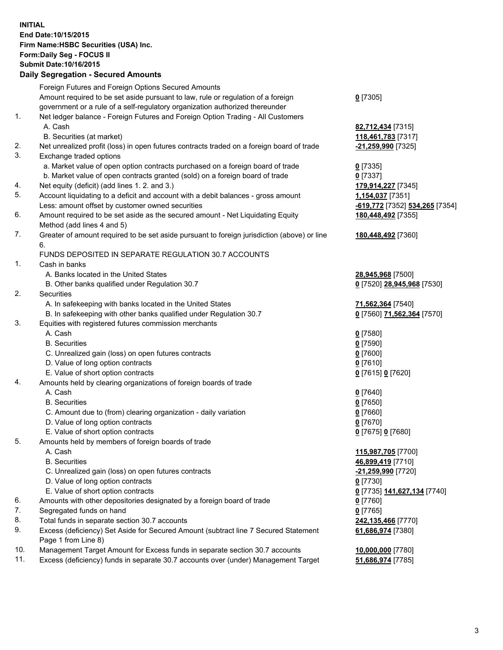**INITIAL End Date:10/15/2015 Firm Name:HSBC Securities (USA) Inc. Form:Daily Seg - FOCUS II Submit Date:10/16/2015**

## **Daily Segregation - Secured Amounts**

|     | Foreign Futures and Foreign Options Secured Amounts                                                        |                                |
|-----|------------------------------------------------------------------------------------------------------------|--------------------------------|
|     | Amount required to be set aside pursuant to law, rule or regulation of a foreign                           | $0$ [7305]                     |
|     | government or a rule of a self-regulatory organization authorized thereunder                               |                                |
| 1.  | Net ledger balance - Foreign Futures and Foreign Option Trading - All Customers                            |                                |
|     | A. Cash                                                                                                    | 82,712,434 [7315]              |
|     | B. Securities (at market)                                                                                  | 118,461,783 [7317]             |
| 2.  | Net unrealized profit (loss) in open futures contracts traded on a foreign board of trade                  | -21,259,990 [7325]             |
| 3.  | Exchange traded options                                                                                    |                                |
|     | a. Market value of open option contracts purchased on a foreign board of trade                             | $0$ [7335]                     |
|     | b. Market value of open contracts granted (sold) on a foreign board of trade                               | $0$ [7337]                     |
| 4.  | Net equity (deficit) (add lines 1.2. and 3.)                                                               | 179,914,227 [7345]             |
| 5.  | Account liquidating to a deficit and account with a debit balances - gross amount                          | 1,154,037 [7351]               |
|     | Less: amount offset by customer owned securities                                                           | -619,772 [7352] 534,265 [7354] |
| 6.  | Amount required to be set aside as the secured amount - Net Liquidating Equity                             | 180,448,492 [7355]             |
|     | Method (add lines 4 and 5)                                                                                 |                                |
| 7.  | Greater of amount required to be set aside pursuant to foreign jurisdiction (above) or line                | 180,448,492 [7360]             |
|     | 6.                                                                                                         |                                |
|     | FUNDS DEPOSITED IN SEPARATE REGULATION 30.7 ACCOUNTS                                                       |                                |
| 1.  | Cash in banks                                                                                              |                                |
|     | A. Banks located in the United States                                                                      | 28,945,968 [7500]              |
|     | B. Other banks qualified under Regulation 30.7                                                             | 0 [7520] 28,945,968 [7530]     |
| 2.  | Securities                                                                                                 |                                |
|     | A. In safekeeping with banks located in the United States                                                  | 71,562,364 [7540]              |
|     | B. In safekeeping with other banks qualified under Regulation 30.7                                         | 0 [7560] 71,562,364 [7570]     |
| 3.  | Equities with registered futures commission merchants                                                      |                                |
|     | A. Cash                                                                                                    | $0$ [7580]                     |
|     | <b>B.</b> Securities                                                                                       | $0$ [7590]                     |
|     | C. Unrealized gain (loss) on open futures contracts                                                        | $0$ [7600]                     |
|     | D. Value of long option contracts                                                                          | $0$ [7610]                     |
|     | E. Value of short option contracts                                                                         | 0 [7615] 0 [7620]              |
| 4.  | Amounts held by clearing organizations of foreign boards of trade                                          |                                |
|     | A. Cash                                                                                                    | $0$ [7640]                     |
|     | <b>B.</b> Securities                                                                                       | $0$ [7650]                     |
|     | C. Amount due to (from) clearing organization - daily variation                                            | $0$ [7660]                     |
|     | D. Value of long option contracts                                                                          | $0$ [7670]                     |
|     | E. Value of short option contracts                                                                         | 0 [7675] 0 [7680]              |
| 5.  | Amounts held by members of foreign boards of trade                                                         |                                |
|     | A. Cash                                                                                                    | 115,987,705 [7700]             |
|     | <b>B.</b> Securities                                                                                       | 46,899,419 [7710]              |
|     | C. Unrealized gain (loss) on open futures contracts                                                        | -21,259,990 [7720]             |
|     | D. Value of long option contracts                                                                          | 0 [7730]                       |
|     | E. Value of short option contracts                                                                         | 0 [7735] 141,627,134 [7740]    |
| 6.  | Amounts with other depositories designated by a foreign board of trade                                     | 0 [7760]                       |
| 7.  | Segregated funds on hand                                                                                   | $0$ [7765]                     |
| 8.  | Total funds in separate section 30.7 accounts                                                              | 242,135,466 [7770]             |
| 9.  | Excess (deficiency) Set Aside for Secured Amount (subtract line 7 Secured Statement<br>Page 1 from Line 8) | 61,686,974 [7380]              |
| 10. | Management Target Amount for Excess funds in separate section 30.7 accounts                                | 10,000,000 [7780]              |
| 11. | Excess (deficiency) funds in separate 30.7 accounts over (under) Management Target                         | 51,686,974 [7785]              |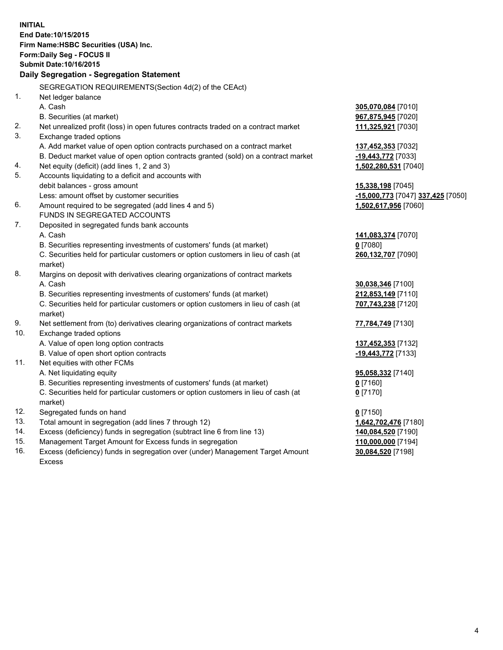**INITIAL End Date:10/15/2015 Firm Name:HSBC Securities (USA) Inc. Form:Daily Seg - FOCUS II Submit Date:10/16/2015 Daily Segregation - Segregation Statement** SEGREGATION REQUIREMENTS(Section 4d(2) of the CEAct) 1. Net ledger balance A. Cash **305,070,084** [7010] B. Securities (at market) **967,875,945** [7020] 2. Net unrealized profit (loss) in open futures contracts traded on a contract market **111,325,921** [7030] 3. Exchange traded options A. Add market value of open option contracts purchased on a contract market **137,452,353** [7032] B. Deduct market value of open option contracts granted (sold) on a contract market **-19,443,772** [7033] 4. Net equity (deficit) (add lines 1, 2 and 3) **1,502,280,531** [7040] 5. Accounts liquidating to a deficit and accounts with debit balances - gross amount **15,338,198** [7045] Less: amount offset by customer securities **-15,000,773** [7047] **337,425** [7050] 6. Amount required to be segregated (add lines 4 and 5) **1,502,617,956** [7060] FUNDS IN SEGREGATED ACCOUNTS 7. Deposited in segregated funds bank accounts A. Cash **141,083,374** [7070] B. Securities representing investments of customers' funds (at market) **0** [7080] C. Securities held for particular customers or option customers in lieu of cash (at market) **260,132,707** [7090] 8. Margins on deposit with derivatives clearing organizations of contract markets A. Cash **30,038,346** [7100] B. Securities representing investments of customers' funds (at market) **212,853,149** [7110] C. Securities held for particular customers or option customers in lieu of cash (at market) **707,743,238** [7120] 9. Net settlement from (to) derivatives clearing organizations of contract markets **77,784,749** [7130] 10. Exchange traded options A. Value of open long option contracts **137,452,353** [7132] B. Value of open short option contracts **-19,443,772** [7133] 11. Net equities with other FCMs A. Net liquidating equity **95,058,332** [7140] B. Securities representing investments of customers' funds (at market) **0** [7160] C. Securities held for particular customers or option customers in lieu of cash (at market) **0** [7170] 12. Segregated funds on hand **0** [7150] 13. Total amount in segregation (add lines 7 through 12) **1,642,702,476** [7180] 14. Excess (deficiency) funds in segregation (subtract line 6 from line 13) **140,084,520** [7190] 15. Management Target Amount for Excess funds in segregation **110,000,000** [7194]

16. Excess (deficiency) funds in segregation over (under) Management Target Amount Excess

**30,084,520** [7198]